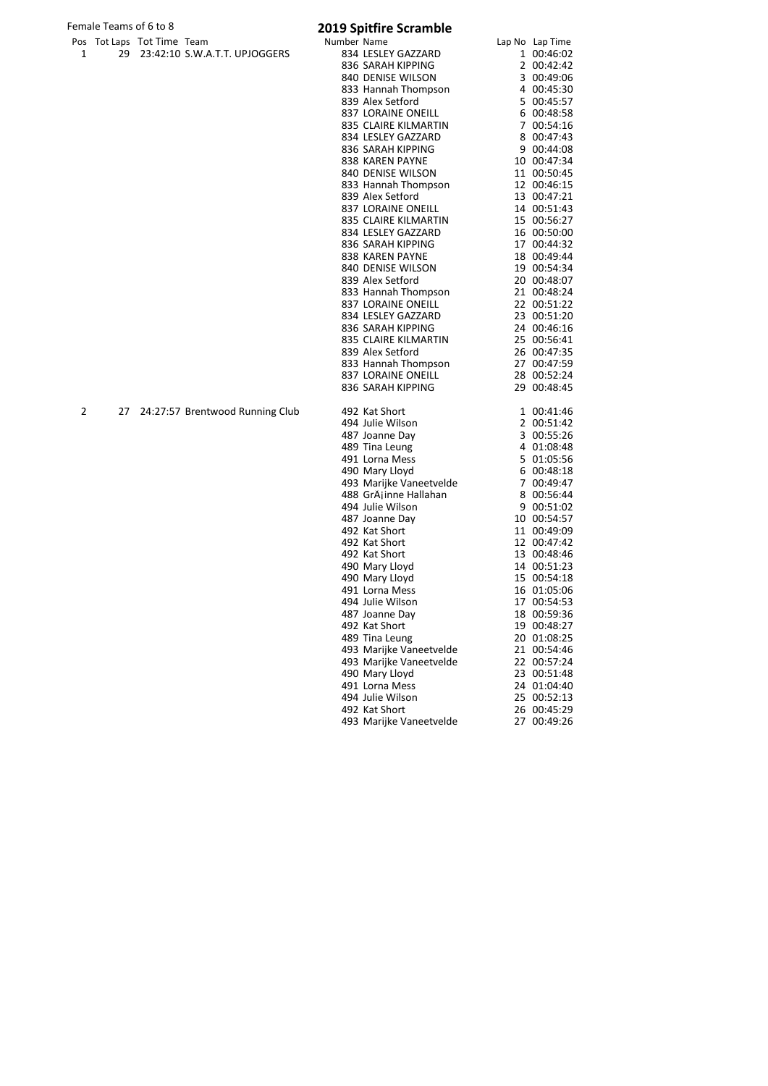# Female Teams of 6 to 8 **2019 Spitfire Scramble**

|   |    | Pos Tot Laps Tot Time Team      | Number Name                     | Lap No Lap Time |
|---|----|---------------------------------|---------------------------------|-----------------|
| 1 | 29 | 23:42:10 S.W.A.T.T. UPJOGGERS   | 834 LESLEY GAZZARD              | 1 00:46:02      |
|   |    |                                 | 836 SARAH KIPPING               | 2 00:42:42      |
|   |    |                                 | 840 DENISE WILSON               | 3 00:49:06      |
|   |    |                                 |                                 |                 |
|   |    |                                 | 833 Hannah Thompson             | 4 00:45:30      |
|   |    |                                 | 839 Alex Setford                | 5 00:45:57      |
|   |    |                                 | <b>837 LORAINE ONEILL</b>       | 6 00:48:58      |
|   |    |                                 | 835 CLAIRE KILMARTIN            | 7 00:54:16      |
|   |    |                                 | 834 LESLEY GAZZARD              | 8 00:47:43      |
|   |    |                                 | 836 SARAH KIPPING               | 9 00:44:08      |
|   |    |                                 | 838 KAREN PAYNE                 | 10 00:47:34     |
|   |    |                                 | 840 DENISE WILSON               | 11 00:50:45     |
|   |    |                                 | 833 Hannah Thompson             | 12 00:46:15     |
|   |    |                                 | 839 Alex Setford                | 13 00:47:21     |
|   |    |                                 | 837 LORAINE ONEILL              | 14 00:51:43     |
|   |    |                                 | 835 CLAIRE KILMARTIN            | 15 00:56:27     |
|   |    |                                 | 834 LESLEY GAZZARD              | 16 00:50:00     |
|   |    |                                 | 836 SARAH KIPPING               | 17 00:44:32     |
|   |    |                                 | 838 KAREN PAYNE                 | 18 00:49:44     |
|   |    |                                 | 840 DENISE WILSON               | 19 00:54:34     |
|   |    |                                 | 839 Alex Setford                | 20 00:48:07     |
|   |    |                                 | 833 Hannah Thompson             | 21 00:48:24     |
|   |    |                                 | 837 LORAINE ONEILL              | 22 00:51:22     |
|   |    |                                 | 834 LESLEY GAZZARD              | 23 00:51:20     |
|   |    |                                 | 836 SARAH KIPPING               | 24 00:46:16     |
|   |    |                                 | 835 CLAIRE KILMARTIN            | 25 00:56:41     |
|   |    |                                 | 839 Alex Setford                | 26 00:47:35     |
|   |    |                                 | 833 Hannah Thompson             | 27 00:47:59     |
|   |    |                                 | 837 LORAINE ONEILL              | 28 00:52:24     |
|   |    |                                 | 836 SARAH KIPPING               | 29 00:48:45     |
| 2 | 27 | 24:27:57 Brentwood Running Club | 492 Kat Short                   | 1 00:41:46      |
|   |    |                                 | 494 Julie Wilson                | 2 00:51:42      |
|   |    |                                 | 487 Joanne Day                  | 3 00:55:26      |
|   |    |                                 | 489 Tina Leung                  | 4 01:08:48      |
|   |    |                                 | 491 Lorna Mess                  | 5 01:05:56      |
|   |    |                                 | 490 Mary Lloyd                  | 6 00:48:18      |
|   |    |                                 | 493 Marijke Vaneetvelde         | 7 00:49:47      |
|   |    |                                 | 488 GrAjinne Hallahan           | 8 00:56:44      |
|   |    |                                 | 494 Julie Wilson                | 9 00:51:02      |
|   |    |                                 |                                 | 10 00:54:57     |
|   |    |                                 | 487 Joanne Day<br>492 Kat Short | 11 00:49:09     |
|   |    |                                 | 492 Kat Short                   | 12 00:47:42     |
|   |    |                                 | 492 Kat Short                   | 13 00:48:46     |
|   |    |                                 |                                 |                 |
|   |    |                                 | 490 Mary Lloyd                  | 14 00:51:23     |
|   |    |                                 | 490 Mary Lloyd                  | 15 00:54:18     |
|   |    |                                 | 491 Lorna Mess                  | 16 01:05:06     |
|   |    |                                 | 494 Julie Wilson                | 17 00:54:53     |
|   |    |                                 | 487 Joanne Day                  | 18 00:59:36     |
|   |    |                                 | 492 Kat Short                   | 19 00:48:27     |
|   |    |                                 | 489 Tina Leung                  | 20 01:08:25     |
|   |    |                                 | 493 Marijke Vaneetvelde         | 21 00:54:46     |
|   |    |                                 | 493 Marijke Vaneetvelde         | 22 00:57:24     |
|   |    |                                 | 490 Mary Lloyd                  | 23 00:51:48     |
|   |    |                                 | 491 Lorna Mess                  | 24 01:04:40     |
|   |    |                                 | 494 Julie Wilson                | 25 00:52:13     |
|   |    |                                 | 492 Kat Short                   | 26 00:45:29     |
|   |    |                                 | 493 Marijke Vaneetvelde         | 27 00:49:26     |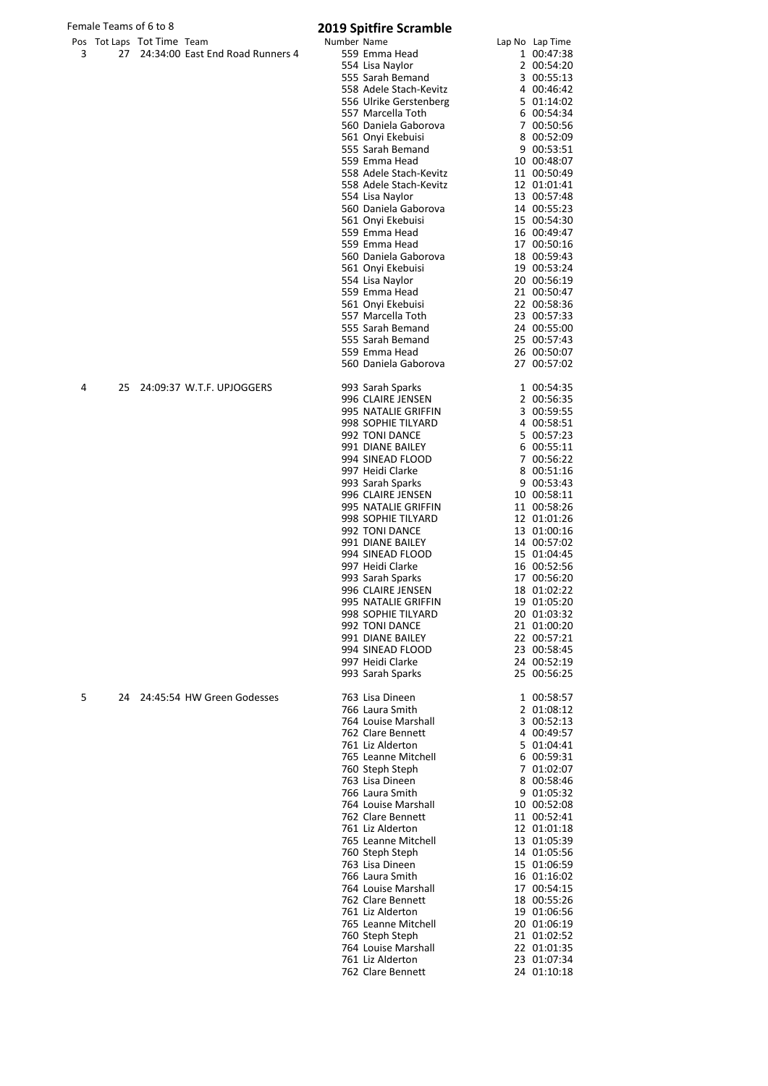| Female Teams of 6 to 8 |    |                            |                                     | <b>2019 Spitfire Scramble</b> |                                           |                            |
|------------------------|----|----------------------------|-------------------------------------|-------------------------------|-------------------------------------------|----------------------------|
|                        |    | Pos Tot Laps Tot Time Team |                                     | Number Name                   |                                           | Lap No Lap Time            |
| 3                      |    |                            | 27 24:34:00 East End Road Runners 4 |                               | 559 Emma Head                             | 1 00:47:38                 |
|                        |    |                            |                                     |                               | 554 Lisa Naylor<br>555 Sarah Bemand       | 2 00:54:20<br>3 00:55:13   |
|                        |    |                            |                                     |                               | 558 Adele Stach-Kevitz                    | 4 00:46:42                 |
|                        |    |                            |                                     |                               | 556 Ulrike Gerstenberg                    | 5 01:14:02                 |
|                        |    |                            |                                     |                               | 557 Marcella Toth                         | 6 00:54:34                 |
|                        |    |                            |                                     |                               | 560 Daniela Gaborova                      | 7 00:50:56                 |
|                        |    |                            |                                     |                               | 561 Onyi Ekebuisi                         | 8 00:52:09                 |
|                        |    |                            |                                     |                               | 555 Sarah Bemand<br>559 Emma Head         | 9 00:53:51<br>10 00:48:07  |
|                        |    |                            |                                     |                               | 558 Adele Stach-Kevitz                    | 11 00:50:49                |
|                        |    |                            |                                     |                               | 558 Adele Stach-Kevitz                    | 12 01:01:41                |
|                        |    |                            |                                     |                               | 554 Lisa Naylor                           | 13 00:57:48                |
|                        |    |                            |                                     |                               | 560 Daniela Gaborova                      | 14 00:55:23                |
|                        |    |                            |                                     |                               | 561 Onyi Ekebuisi<br>559 Emma Head        | 15 00:54:30<br>16 00:49:47 |
|                        |    |                            |                                     |                               | 559 Emma Head                             | 17 00:50:16                |
|                        |    |                            |                                     |                               | 560 Daniela Gaborova                      | 18 00:59:43                |
|                        |    |                            |                                     |                               | 561 Onyi Ekebuisi                         | 19 00:53:24                |
|                        |    |                            |                                     |                               | 554 Lisa Naylor                           | 20 00:56:19                |
|                        |    |                            |                                     |                               | 559 Emma Head<br>561 Onyi Ekebuisi        | 21 00:50:47                |
|                        |    |                            |                                     |                               | 557 Marcella Toth                         | 22 00:58:36<br>23 00:57:33 |
|                        |    |                            |                                     |                               | 555 Sarah Bemand                          | 24 00:55:00                |
|                        |    |                            |                                     |                               | 555 Sarah Bemand                          | 25 00:57:43                |
|                        |    |                            |                                     |                               | 559 Emma Head                             | 26 00:50:07                |
|                        |    |                            |                                     |                               | 560 Daniela Gaborova                      | 27 00:57:02                |
| 4                      | 25 |                            | 24:09:37 W.T.F. UPJOGGERS           |                               | 993 Sarah Sparks                          | 1 00:54:35                 |
|                        |    |                            |                                     |                               | 996 CLAIRE JENSEN                         | 2 00:56:35                 |
|                        |    |                            |                                     |                               | 995 NATALIE GRIFFIN<br>998 SOPHIE TILYARD | 3 00:59:55<br>4 00:58:51   |
|                        |    |                            |                                     |                               | 992 TONI DANCE                            | 5 00:57:23                 |
|                        |    |                            |                                     |                               | 991 DIANE BAILEY                          | 6 00:55:11                 |
|                        |    |                            |                                     |                               | 994 SINEAD FLOOD                          | 7 00:56:22                 |
|                        |    |                            |                                     |                               | 997 Heidi Clarke                          | 8 00:51:16                 |
|                        |    |                            |                                     |                               | 993 Sarah Sparks                          | 9 00:53:43                 |
|                        |    |                            |                                     |                               | 996 CLAIRE JENSEN<br>995 NATALIE GRIFFIN  | 10 00:58:11<br>11 00:58:26 |
|                        |    |                            |                                     |                               | 998 SOPHIE TILYARD                        | 12 01:01:26                |
|                        |    |                            |                                     |                               | 992 TONI DANCE                            | 13 01:00:16                |
|                        |    |                            |                                     |                               | 991 DIANE BAILEY                          | 14 00:57:02                |
|                        |    |                            |                                     |                               | 994 SINEAD FLOOD                          | 15 01:04:45                |
|                        |    |                            |                                     |                               | 997 Heidi Clarke<br>993 Sarah Sparks      | 16 00:52:56<br>17 00:56:20 |
|                        |    |                            |                                     |                               | 996 CLAIRE JENSEN                         | 18 01:02:22                |
|                        |    |                            |                                     |                               | 995 NATALIE GRIFFIN                       | 19 01:05:20                |
|                        |    |                            |                                     |                               | 998 SOPHIE TILYARD                        | 20 01:03:32                |
|                        |    |                            |                                     |                               | 992 TONI DANCE                            | 21 01:00:20                |
|                        |    |                            |                                     |                               | 991 DIANE BAILEY                          | 22 00:57:21                |
|                        |    |                            |                                     |                               | 994 SINEAD FLOOD<br>997 Heidi Clarke      | 23 00:58:45<br>24 00:52:19 |
|                        |    |                            |                                     |                               | 993 Sarah Sparks                          | 25 00:56:25                |
| 5                      |    |                            | 24 24:45:54 HW Green Godesses       |                               | 763 Lisa Dineen                           | 1 00:58:57                 |
|                        |    |                            |                                     |                               | 766 Laura Smith                           | 2 01:08:12                 |
|                        |    |                            |                                     |                               | 764 Louise Marshall                       | 3 00:52:13                 |
|                        |    |                            |                                     |                               | 762 Clare Bennett                         | 4 00:49:57                 |
|                        |    |                            |                                     |                               | 761 Liz Alderton                          | 5 01:04:41                 |
|                        |    |                            |                                     |                               | 765 Leanne Mitchell<br>760 Steph Steph    | 6 00:59:31<br>7 01:02:07   |
|                        |    |                            |                                     |                               | 763 Lisa Dineen                           | 8 00:58:46                 |
|                        |    |                            |                                     |                               | 766 Laura Smith                           | 9 01:05:32                 |
|                        |    |                            |                                     |                               | 764 Louise Marshall                       | 10 00:52:08                |
|                        |    |                            |                                     |                               | 762 Clare Bennett                         | 11 00:52:41                |
|                        |    |                            |                                     |                               | 761 Liz Alderton                          | 12 01:01:18<br>13 01:05:39 |
|                        |    |                            |                                     |                               | 765 Leanne Mitchell<br>760 Steph Steph    | 14 01:05:56                |
|                        |    |                            |                                     |                               | 763 Lisa Dineen                           | 15 01:06:59                |
|                        |    |                            |                                     |                               | 766 Laura Smith                           | 16 01:16:02                |
|                        |    |                            |                                     |                               | 764 Louise Marshall                       | 17 00:54:15                |
|                        |    |                            |                                     |                               | 762 Clare Bennett<br>761 Liz Alderton     | 18 00:55:26                |
|                        |    |                            |                                     |                               | 765 Leanne Mitchell                       | 19 01:06:56<br>20 01:06:19 |
|                        |    |                            |                                     |                               | 760 Steph Steph                           | 21 01:02:52                |
|                        |    |                            |                                     |                               | 764 Louise Marshall                       | 22 01:01:35                |
|                        |    |                            |                                     |                               | 761 Liz Alderton                          | 23 01:07:34                |
|                        |    |                            |                                     |                               | 762 Clare Bennett                         | 24 01:10:18                |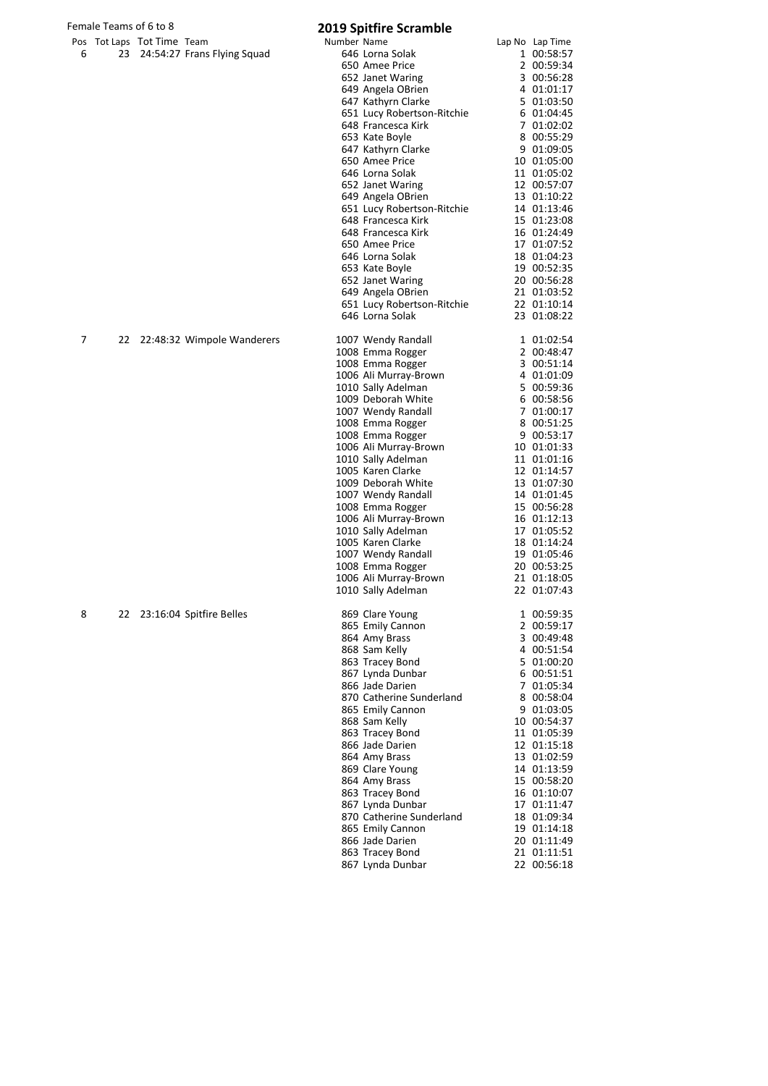# Female Teams of 6 to 8 **2019 Spitfire Scramble**

|   |    | Pos Tot Laps Tot Time Team |                             | , 29 aprenn c acrammer<br>Number Name           | Lap No Lap Time            |
|---|----|----------------------------|-----------------------------|-------------------------------------------------|----------------------------|
| 6 | 23 |                            | 24:54:27 Frans Flying Squad | 646 Lorna Solak                                 | 1 00:58:57                 |
|   |    |                            |                             | 650 Amee Price                                  | 2 00:59:34                 |
|   |    |                            |                             | 652 Janet Waring                                | 3 00:56:28                 |
|   |    |                            |                             | 649 Angela OBrien                               | 4 01:01:17                 |
|   |    |                            |                             | 647 Kathyrn Clarke                              | 5 01:03:50                 |
|   |    |                            |                             | 651 Lucy Robertson-Ritchie                      | 6 01:04:45                 |
|   |    |                            |                             | 648 Francesca Kirk                              | 7 01:02:02                 |
|   |    |                            |                             | 653 Kate Boyle<br>647 Kathyrn Clarke            | 8 00:55:29<br>9 01:09:05   |
|   |    |                            |                             | 650 Amee Price                                  | 10 01:05:00                |
|   |    |                            |                             | 646 Lorna Solak                                 | 11 01:05:02                |
|   |    |                            |                             | 652 Janet Waring                                | 12 00:57:07                |
|   |    |                            |                             | 649 Angela OBrien                               | 13 01:10:22                |
|   |    |                            |                             | 651 Lucy Robertson-Ritchie                      | 14 01:13:46                |
|   |    |                            |                             | 648 Francesca Kirk                              | 15 01:23:08                |
|   |    |                            |                             | 648 Francesca Kirk                              | 16 01:24:49                |
|   |    |                            |                             | 650 Amee Price                                  | 17 01:07:52                |
|   |    |                            |                             | 646 Lorna Solak                                 | 18 01:04:23                |
|   |    |                            |                             | 653 Kate Boyle                                  | 19 00:52:35                |
|   |    |                            |                             | 652 Janet Waring                                | 20 00:56:28<br>21 01:03:52 |
|   |    |                            |                             | 649 Angela OBrien<br>651 Lucy Robertson-Ritchie | 22 01:10:14                |
|   |    |                            |                             | 646 Lorna Solak                                 | 23 01:08:22                |
|   |    |                            |                             |                                                 |                            |
| 7 | 22 |                            | 22:48:32 Wimpole Wanderers  | 1007 Wendy Randall                              | 1 01:02:54                 |
|   |    |                            |                             | 1008 Emma Rogger                                | 2 00:48:47                 |
|   |    |                            |                             | 1008 Emma Rogger                                | 3 00:51:14                 |
|   |    |                            |                             | 1006 Ali Murray-Brown                           | 4 01:01:09                 |
|   |    |                            |                             | 1010 Sally Adelman<br>1009 Deborah White        | 5 00:59:36                 |
|   |    |                            |                             | 1007 Wendy Randall                              | 6 00:58:56<br>7 01:00:17   |
|   |    |                            |                             | 1008 Emma Rogger                                | 8 00:51:25                 |
|   |    |                            |                             | 1008 Emma Rogger                                | 9 00:53:17                 |
|   |    |                            |                             | 1006 Ali Murray-Brown                           | 10 01:01:33                |
|   |    |                            |                             | 1010 Sally Adelman                              | 11 01:01:16                |
|   |    |                            |                             | 1005 Karen Clarke                               | 12 01:14:57                |
|   |    |                            |                             | 1009 Deborah White                              | 13 01:07:30                |
|   |    |                            |                             | 1007 Wendy Randall                              | 14 01:01:45                |
|   |    |                            |                             | 1008 Emma Rogger                                | 15 00:56:28                |
|   |    |                            |                             | 1006 Ali Murray-Brown                           | 16 01:12:13                |
|   |    |                            |                             | 1010 Sally Adelman<br>1005 Karen Clarke         | 17 01:05:52<br>18 01:14:24 |
|   |    |                            |                             | 1007 Wendy Randall                              | 19 01:05:46                |
|   |    |                            |                             | 1008 Emma Rogger                                | 20 00:53:25                |
|   |    |                            |                             | 1006 Ali Murray-Brown                           | 21 01:18:05                |
|   |    |                            |                             | 1010 Sally Adelman                              | 22 01:07:43                |
|   |    |                            |                             |                                                 |                            |
| 8 | 22 |                            | 23:16:04 Spitfire Belles    | 869 Clare Young                                 | 1 00:59:35                 |
|   |    |                            |                             | 865 Emily Cannon<br>864 Amy Brass               | 2 00:59:17<br>3 00:49:48   |
|   |    |                            |                             | 868 Sam Kelly                                   | 4 00:51:54                 |
|   |    |                            |                             | 863 Tracey Bond                                 | 5 01:00:20                 |
|   |    |                            |                             | 867 Lynda Dunbar                                | 6 00:51:51                 |
|   |    |                            |                             | 866 Jade Darien                                 | 7 01:05:34                 |
|   |    |                            |                             | 870 Catherine Sunderland                        | 8 00:58:04                 |
|   |    |                            |                             | 865 Emily Cannon                                | 9 01:03:05                 |
|   |    |                            |                             | 868 Sam Kelly                                   | 10 00:54:37                |
|   |    |                            |                             | 863 Tracey Bond                                 | 11 01:05:39                |
|   |    |                            |                             | 866 Jade Darien                                 | 12 01:15:18                |
|   |    |                            |                             | 864 Amy Brass                                   | 13 01:02:59                |
|   |    |                            |                             | 869 Clare Young                                 | 14 01:13:59                |
|   |    |                            |                             | 864 Amy Brass<br>863 Tracey Bond                | 15 00:58:20<br>16 01:10:07 |
|   |    |                            |                             | 867 Lynda Dunbar                                | 17 01:11:47                |
|   |    |                            |                             | 870 Catherine Sunderland                        | 18 01:09:34                |
|   |    |                            |                             | 865 Emily Cannon                                | 19 01:14:18                |
|   |    |                            |                             | 866 Jade Darien                                 | 20 01:11:49                |
|   |    |                            |                             | 863 Tracey Bond                                 | 21 01:11:51                |
|   |    |                            |                             | 867 Lynda Dunbar                                | 22 00:56:18                |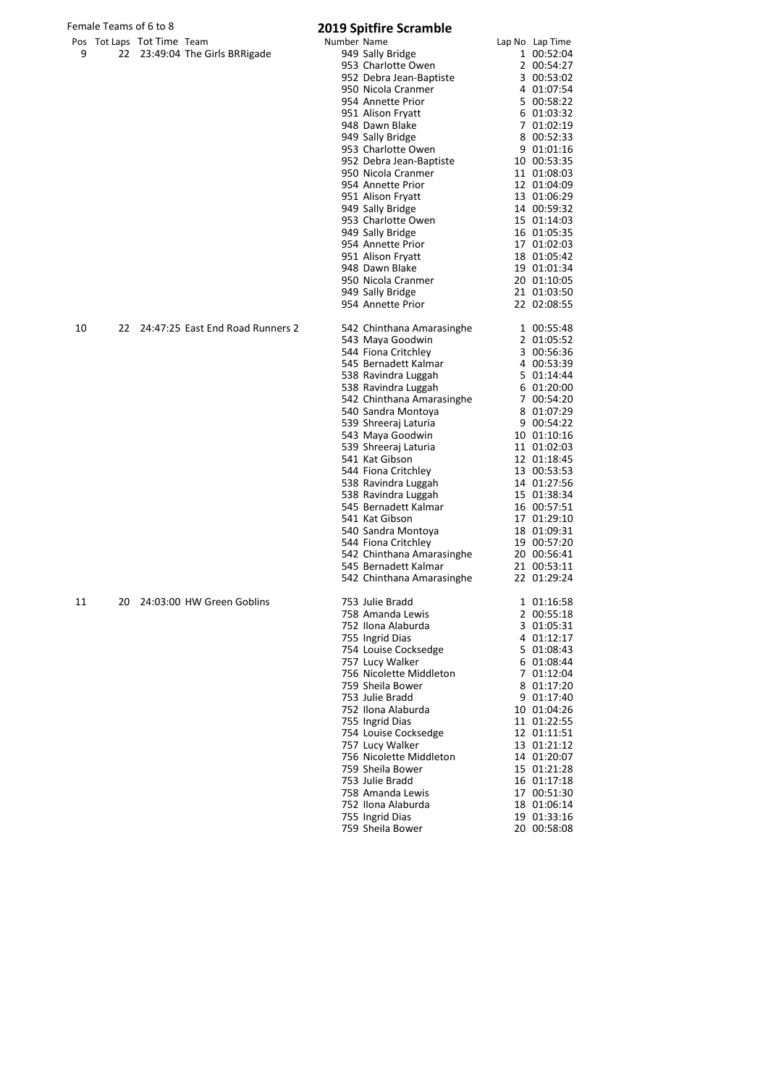|    | Female Teams of 6 to 8 |                            |                                     |             | <b>2019 Spitfire Scramble</b>                 |                            |
|----|------------------------|----------------------------|-------------------------------------|-------------|-----------------------------------------------|----------------------------|
|    |                        | Pos Tot Laps Tot Time Team |                                     | Number Name |                                               | Lap No Lap Time            |
| 9  |                        |                            | 22 23:49:04 The Girls BRRigade      |             | 949 Sally Bridge                              | 1 00:52:04                 |
|    |                        |                            |                                     |             | 953 Charlotte Owen                            | 2 00:54:27                 |
|    |                        |                            |                                     |             | 952 Debra Jean-Baptiste                       | 3 00:53:02                 |
|    |                        |                            |                                     |             | 950 Nicola Cranmer<br>954 Annette Prior       | 4 01:07:54                 |
|    |                        |                            |                                     |             | 951 Alison Fryatt                             | 5 00:58:22<br>6 01:03:32   |
|    |                        |                            |                                     |             | 948 Dawn Blake                                | 7 01:02:19                 |
|    |                        |                            |                                     |             | 949 Sally Bridge                              | 8 00:52:33                 |
|    |                        |                            |                                     |             | 953 Charlotte Owen                            | 9 01:01:16                 |
|    |                        |                            |                                     |             | 952 Debra Jean-Baptiste                       | 10 00:53:35                |
|    |                        |                            |                                     |             | 950 Nicola Cranmer                            | 11 01:08:03                |
|    |                        |                            |                                     |             | 954 Annette Prior                             | 12 01:04:09                |
|    |                        |                            |                                     |             | 951 Alison Fryatt                             | 13 01:06:29                |
|    |                        |                            |                                     |             | 949 Sally Bridge                              | 14 00:59:32                |
|    |                        |                            |                                     |             | 953 Charlotte Owen                            | 15 01:14:03                |
|    |                        |                            |                                     |             | 949 Sally Bridge                              | 16 01:05:35                |
|    |                        |                            |                                     |             | 954 Annette Prior                             | 17 01:02:03                |
|    |                        |                            |                                     |             | 951 Alison Fryatt<br>948 Dawn Blake           | 18 01:05:42<br>19 01:01:34 |
|    |                        |                            |                                     |             | 950 Nicola Cranmer                            | 20 01:10:05                |
|    |                        |                            |                                     |             | 949 Sally Bridge                              | 21 01:03:50                |
|    |                        |                            |                                     |             | 954 Annette Prior                             | 22 02:08:55                |
| 10 |                        |                            | 22 24:47:25 East End Road Runners 2 |             |                                               |                            |
|    |                        |                            |                                     |             | 542 Chinthana Amarasinghe<br>543 Maya Goodwin | 1 00:55:48<br>2 01:05:52   |
|    |                        |                            |                                     |             | 544 Fiona Critchley                           | 3 00:56:36                 |
|    |                        |                            |                                     |             | 545 Bernadett Kalmar                          | 4 00:53:39                 |
|    |                        |                            |                                     |             | 538 Ravindra Luggah                           | 5 01:14:44                 |
|    |                        |                            |                                     |             | 538 Ravindra Luggah                           | 6 01:20:00                 |
|    |                        |                            |                                     |             | 542 Chinthana Amarasinghe                     | 7 00:54:20                 |
|    |                        |                            |                                     |             | 540 Sandra Montoya                            | 8 01:07:29                 |
|    |                        |                            |                                     |             | 539 Shreeraj Laturia                          | 9 00:54:22                 |
|    |                        |                            |                                     |             | 543 Maya Goodwin                              | 10 01:10:16                |
|    |                        |                            |                                     |             | 539 Shreeraj Laturia                          | 11 01:02:03                |
|    |                        |                            |                                     |             | 541 Kat Gibson                                | 12 01:18:45                |
|    |                        |                            |                                     |             | 544 Fiona Critchley                           | 13 00:53:53                |
|    |                        |                            |                                     |             | 538 Ravindra Luggah                           | 14 01:27:56                |
|    |                        |                            |                                     |             | 538 Ravindra Luggah                           | 15 01:38:34                |
|    |                        |                            |                                     |             | 545 Bernadett Kalmar<br>541 Kat Gibson        | 16 00:57:51<br>17 01:29:10 |
|    |                        |                            |                                     |             | 540 Sandra Montoya                            | 18 01:09:31                |
|    |                        |                            |                                     |             | 544 Fiona Critchley                           | 19 00:57:20                |
|    |                        |                            |                                     |             | 542 Chinthana Amarasinghe                     | 20 00:56:41                |
|    |                        |                            |                                     |             | 545 Bernadett Kalmar                          | 21 00:53:11                |
|    |                        |                            |                                     |             | 542 Chinthana Amarasinghe                     | 22 01:29:24                |
| 11 | 20                     |                            | 24:03:00 HW Green Goblins           |             | 753 Julie Bradd                               | 1 01:16:58                 |
|    |                        |                            |                                     |             | 758 Amanda Lewis                              | 2 00:55:18                 |
|    |                        |                            |                                     |             | 752 Ilona Alaburda                            | 3 01:05:31                 |
|    |                        |                            |                                     |             | 755 Ingrid Dias                               | 4 01:12:17                 |
|    |                        |                            |                                     |             | 754 Louise Cocksedge                          | 5 01:08:43                 |
|    |                        |                            |                                     |             | 757 Lucy Walker                               | 6 01:08:44                 |
|    |                        |                            |                                     |             | 756 Nicolette Middleton                       | 7 01:12:04                 |
|    |                        |                            |                                     |             | 759 Sheila Bower                              | 8 01:17:20                 |
|    |                        |                            |                                     |             | 753 Julie Bradd                               | 9 01:17:40                 |
|    |                        |                            |                                     |             | 752 Ilona Alaburda                            | 10 01:04:26                |
|    |                        |                            |                                     |             | 755 Ingrid Dias<br>754 Louise Cocksedge       | 11 01:22:55<br>12 01:11:51 |
|    |                        |                            |                                     |             | 757 Lucy Walker                               | 13 01:21:12                |
|    |                        |                            |                                     |             | 756 Nicolette Middleton                       | 14 01:20:07                |
|    |                        |                            |                                     |             | 759 Sheila Bower                              | 15 01:21:28                |
|    |                        |                            |                                     |             | 753 Julie Bradd                               | 16 01:17:18                |
|    |                        |                            |                                     |             | 758 Amanda Lewis                              | 17 00:51:30                |
|    |                        |                            |                                     |             | 752 Ilona Alaburda                            | 18 01:06:14                |
|    |                        |                            |                                     |             | 755 Ingrid Dias                               | 19 01:33:16                |
|    |                        |                            |                                     |             | 759 Sheila Bower                              | 20 00:58:08                |